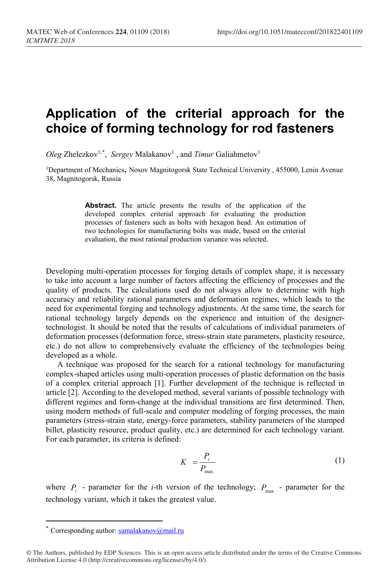## **Application of the criterial approach for the choice of forming technology for rod fasteners**

*Oleg* Zhelezkov<sup>1,[\\*](#page-0-0)</sup>, *Sergey* Malakanov<sup>1</sup>, and *Timur* Galiahmetov<sup>1</sup>

1Department of Mechanics, Nosov Magnitogorsk State Technical University , 455000, Lenin Avenue 38, Magnitogorsk, Russia

> **Abstract.** The article presents the results of the application of the developed complex criterial approach for evaluating the production processes of fasteners such as bolts with hexagon head. An estimation of two technologies for manufacturing bolts was made, based on the criterial evaluation, the most rational production variance was selected.

Developing multi-operation processes for forging details of complex shape, it is necessary to take into account a large number of factors affecting the efficiency of processes and the quality of products. The calculations used do not always allow to determine with high accuracy and reliability rational parameters and deformation regimes, which leads to the need for experimental forging and technology adjustments. At the same time, the search for rational technology largely depends on the experience and intuition of the designertechnologist. It should be noted that the results of calculations of individual parameters of deformation processes (deformation force, stress-strain state parameters, plasticity resource, etc.) do not allow to comprehensively evaluate the efficiency of the technologies being developed as a whole.

A technique was proposed for the search for a rational technology for manufacturing complex-shaped articles using multi-operation processes of plastic deformation on the basis of a complex criterial approach [1]. Further development of the technique is reflected in article [2]. According to the developed method, several variants of possible technology with different regimes and form-change at the individual transitions are first determined. Then, using modern methods of full-scale and computer modeling of forging processes, the main parameters (stress-strain state, energy-force parameters, stability parameters of the stamped billet, plasticity resource, product quality, etc.) are determined for each technology variant. For each parameter, its criteria is defined:

$$
K = \frac{P_i}{P_{\text{max}}} \tag{1}
$$

where  $P_i$  - parameter for the *i*-th version of the technology;  $P_{\text{max}}$  - parameter for the technology variant, which it takes the greatest value.

 $\overline{a}$ 

Corresponding author:  $samalakanov@mail.ru$ 

<span id="page-0-0"></span><sup>©</sup> The Authors, published by EDP Sciences. This is an open access article distributed under the terms of the Creative Commons Attribution License 4.0 (http://creativecommons.org/licenses/by/4.0/).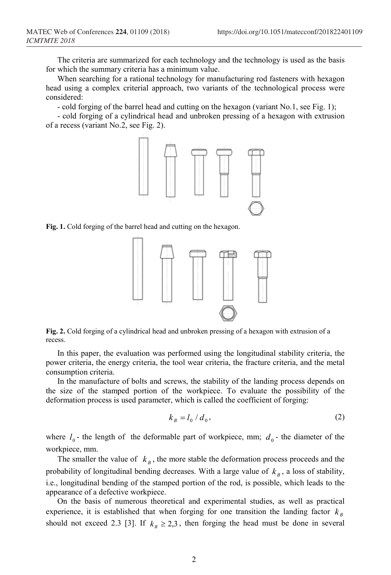The criteria are summarized for each technology and the technology is used as the basis for which the summary criteria has a minimum value.

When searching for a rational technology for manufacturing rod fasteners with hexagon head using a complex criterial approach, two variants of the technological process were considered:

- cold forging of the barrel head and cutting on the hexagon (variant No.1, see Fig. 1);

- cold forging of a cylindrical head and unbroken pressing of a hexagon with extrusion of a recess (variant No.2, see Fig. 2).



**Fig. 1.** Cold forging of the barrel head and cutting on the hexagon.



**Fig. 2.** Cold forging of a cylindrical head and unbroken pressing of a hexagon with extrusion of a recess.

In this paper, the evaluation was performed using the longitudinal stability criteria, the power criteria, the energy criteria, the tool wear criteria, the fracture criteria, and the metal consumption criteria.

In the manufacture of bolts and screws, the stability of the landing process depends on the size of the stamped portion of the workpiece. To evaluate the possibility of the deformation process is used parameter, which is called the coefficient of forging:

$$
k_B = l_0 / d_0, \qquad (2)
$$

where  $l_0$ - the length of the deformable part of workpiece, mm;  $d_0$ - the diameter of the workpiece, mm.

The smaller the value of  $k<sub>B</sub>$ , the more stable the deformation process proceeds and the probability of longitudinal bending decreases. With a large value of  $k<sub>n</sub>$ , a loss of stability, i.e., longitudinal bending of the stamped portion of the rod, is possible, which leads to the appearance of a defective workpiece.

On the basis of numerous theoretical and experimental studies, as well as practical experience, it is established that when forging for one transition the landing factor  $k<sub>B</sub>$ should not exceed 2.3 [3]. If  $k_B \ge 2.3$ , then forging the head must be done in several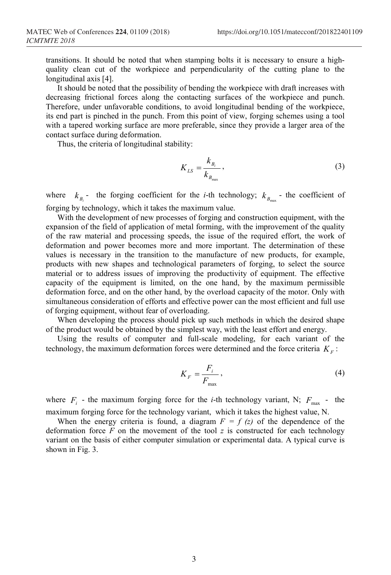transitions. It should be noted that when stamping bolts it is necessary to ensure a highquality clean cut of the workpiece and perpendicularity of the cutting plane to the longitudinal axis [4].

It should be noted that the possibility of bending the workpiece with draft increases with decreasing frictional forces along the contacting surfaces of the workpiece and punch. Therefore, under unfavorable conditions, to avoid longitudinal bending of the workpiece, its end part is pinched in the punch. From this point of view, forging schemes using a tool with a tapered working surface are more preferable, since they provide a larger area of the contact surface during deformation.

Thus, the criteria of longitudinal stability:

$$
K_{LS} = \frac{k_{B_i}}{k_{B_{\text{max}}}},\tag{3}
$$

where  $k_{B}$  - the forging coefficient for the *i*-th technology;  $k_{B}$  - the coefficient of forging by technology, which it takes the maximum value.

With the development of new processes of forging and construction equipment, with the expansion of the field of application of metal forming, with the improvement of the quality of the raw material and processing speeds, the issue of the required effort, the work of deformation and power becomes more and more important. The determination of these values is necessary in the transition to the manufacture of new products, for example, products with new shapes and technological parameters of forging, to select the source material or to address issues of improving the productivity of equipment. The effective capacity of the equipment is limited, on the one hand, by the maximum permissible deformation force, and on the other hand, by the overload capacity of the motor. Only with simultaneous consideration of efforts and effective power can the most efficient and full use of forging equipment, without fear of overloading.

When developing the process should pick up such methods in which the desired shape of the product would be obtained by the simplest way, with the least effort and energy.

Using the results of computer and full-scale modeling, for each variant of the technology, the maximum deformation forces were determined and the force criteria  $K<sub>F</sub>$ :

$$
K_F = \frac{F_i}{F_{\text{max}}},\tag{4}
$$

where  $F_i$  - the maximum forging force for the *i*-th technology variant, N;  $F_{\text{max}}$  - the maximum forging force for the technology variant, which it takes the highest value, N.

When the energy criteria is found, a diagram  $F = f(z)$  of the dependence of the deformation force  $F$  on the movement of the tool  $z$  is constructed for each technology variant on the basis of either computer simulation or experimental data. A typical curve is shown in Fig. 3.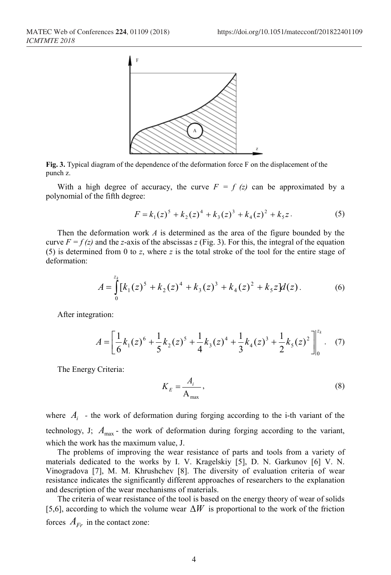

**Fig. 3.** Typical diagram of the dependence of the deformation force F on the displacement of the punch z.

With a high degree of accuracy, the curve  $F = f(z)$  can be approximated by a polynomial of the fifth degree:

$$
F = k_1(z)^5 + k_2(z)^4 + k_3(z)^3 + k_4(z)^2 + k_5z.
$$
 (5)

Then the deformation work *A* is determined as the area of the figure bounded by the curve  $F = f(z)$  and the *z*-axis of the abscissas *z* (Fig. 3). For this, the integral of the equation (5) is determined from 0 to *z*, where *z* is the total stroke of the tool for the entire stage of deformation:

$$
A = \int_{0}^{z_k} [k_1(z)^5 + k_2(z)^4 + k_3(z)^3 + k_4(z)^2 + k_5 z] d(z).
$$
 (6)

After integration:

$$
A = \left[\frac{1}{6}k_1(z)^6 + \frac{1}{5}k_2(z)^5 + \frac{1}{4}k_3(z)^4 + \frac{1}{3}k_4(z)^3 + \frac{1}{2}k_5(z)^2\right]_0^{z_k}.
$$
 (7)

The Energy Criteria:

$$
K_E = \frac{A_i}{A_{\text{max}}},\tag{8}
$$

where  $A_i$  - the work of deformation during forging according to the i-th variant of the technology, J;  $A_{\text{max}}$  - the work of deformation during forging according to the variant, which the work has the maximum value, J.

The problems of improving the wear resistance of parts and tools from a variety of materials dedicated to the works by I. V. Kragelskiy [5], D. N. Garkunov [6] V. N. Vinogradova [7], M. M. Khrushchev [8]. The diversity of evaluation criteria of wear resistance indicates the significantly different approaches of researchers to the explanation and description of the wear mechanisms of materials.

The criteria of wear resistance of the tool is based on the energy theory of wear of solids [5,6], according to which the volume wear ∆*W* is proportional to the work of the friction forces  $A_{F_r}$  in the contact zone: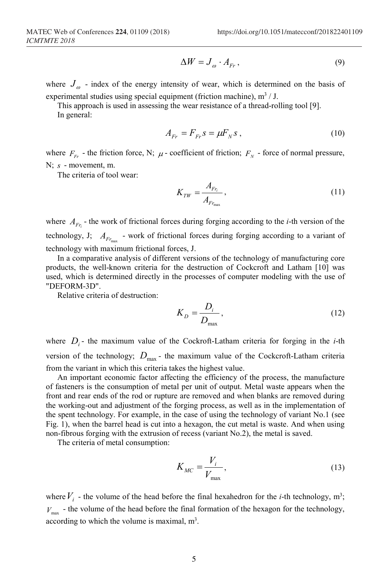$$
\Delta W = J_{\omega} \cdot A_{Fr},\tag{9}
$$

where  $J_{\varphi}$  - index of the energy intensity of wear, which is determined on the basis of experimental studies using special equipment (friction machine),  $m^3 / J$ .

This approach is used in assessing the wear resistance of a thread-rolling tool [9]. In general:

$$
A_{Fr} = F_{Fr} s = \mu F_N s \,, \tag{10}
$$

where  $F_{F_r}$  - the friction force, N;  $\mu$  - coefficient of friction;  $F_N$  - force of normal pressure, N; *s* - movement, m.

The criteria of tool wear:

$$
K_{TW} = \frac{A_{Fr_i}}{A_{Fr_{\text{max}}}},\tag{11}
$$

where  $A_{F_i}$  - the work of frictional forces during forging according to the *i*-th version of the technology, J;  $A_{F_{r_{\text{max}}}}$  *-* work of frictional forces during forging according to a variant of technology with maximum frictional forces, J.

In a comparative analysis of different versions of the technology of manufacturing core products, the well-known criteria for the destruction of Cockcroft and Latham [10] was used, which is determined directly in the processes of computer modeling with the use of "DEFORM-3D".

Relative criteria of destruction:

$$
K_D = \frac{D_i}{D_{\text{max}}},\tag{12}
$$

where  $D_i$ - the maximum value of the Cockroft-Latham criteria for forging in the *i*-th version of the technology;  $D_{\text{max}}$  - the maximum value of the Cockcroft-Latham criteria from the variant in which this criteria takes the highest value.

An important economic factor affecting the efficiency of the process, the manufacture of fasteners is the consumption of metal per unit of output. Metal waste appears when the front and rear ends of the rod or rupture are removed and when blanks are removed during the working-out and adjustment of the forging process, as well as in the implementation of the spent technology. For example, in the case of using the technology of variant No.1 (see Fig. 1), when the barrel head is cut into a hexagon, the cut metal is waste. And when using non-fibrous forging with the extrusion of recess (variant No.2), the metal is saved.

The criteria of metal consumption:

$$
K_{MC} = \frac{V_i}{V_{\text{max}}},\tag{13}
$$

where  $V_i$  - the volume of the head before the final hexahedron for the *i*-th technology, m<sup>3</sup>;  $V_{\text{max}}$  - the volume of the head before the final formation of the hexagon for the technology, according to which the volume is maximal,  $m<sup>3</sup>$ .